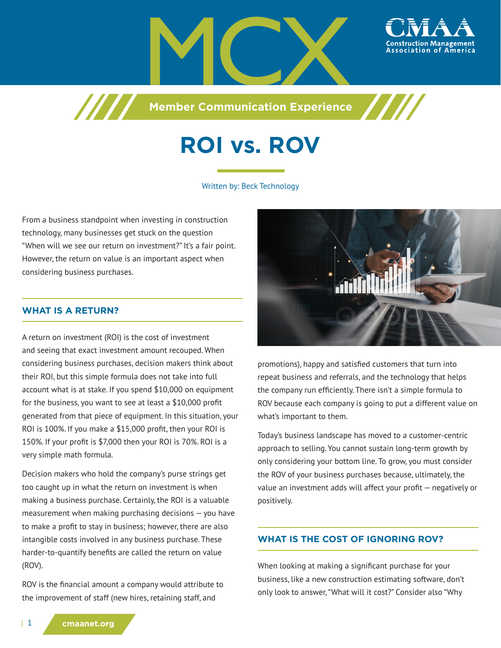



**Member Communication Experience**



# **ROI vs. ROV**

#### Written by: Beck Technology

From a business standpoint when investing in construction technology, many businesses get stuck on the question "When will we see our return on investment?" It's a fair point. However, the return on value is an important aspect when considering business purchases.

7777

## **WHAT IS A RETURN?**

A return on investment (ROI) is the cost of investment and seeing that exact investment amount recouped. When considering business purchases, decision makers think about their ROI, but this simple formula does not take into full account what is at stake. If you spend \$10,000 on equipment for the business, you want to see at least a \$10,000 profit generated from that piece of equipment. In this situation, your ROI is 100%. If you make a \$15,000 profit, then your ROI is 150%. If your profit is \$7,000 then your ROI is 70%. ROI is a very simple math formula.

Decision makers who hold the company's purse strings get too caught up in what the return on investment is when making a business purchase. Certainly, the ROI is a valuable measurement when making purchasing decisions — you have to make a profit to stay in business; however, there are also intangible costs involved in any business purchase. These harder-to-quantify benefits are called the return on value (ROV).

ROV is the financial amount a company would attribute to the improvement of staff (new hires, retaining staff, and



promotions), happy and satisfied customers that turn into repeat business and referrals, and the technology that helps the company run efficiently. There isn't a simple formula to ROV because each company is going to put a different value on what's important to them.

Today's business landscape has moved to a customer-centric approach to selling. You cannot sustain long-term growth by only considering your bottom line. To grow, you must consider the ROV of your business purchases because, ultimately, the value an investment adds will affect your profit — negatively or positively.

### **WHAT IS THE COST OF IGNORING ROV?**

When looking at making a significant purchase for your business, like a new construction estimating software, don't only look to answer, "What will it cost?" Consider also "Why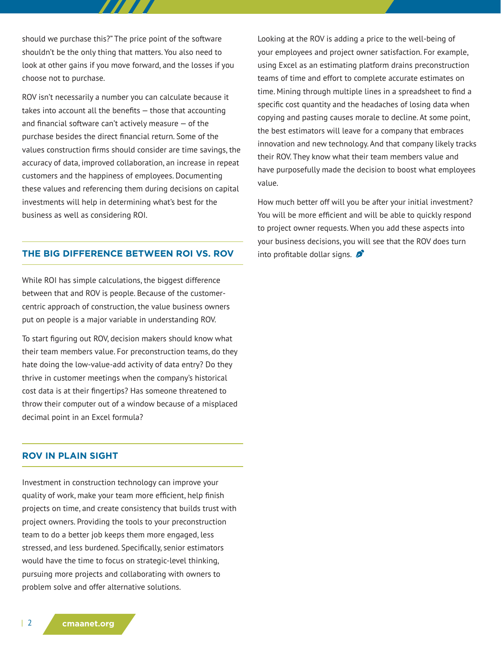should we purchase this?" The price point of the software shouldn't be the only thing that matters. You also need to look at other gains if you move forward, and the losses if you choose not to purchase.

ROV isn't necessarily a number you can calculate because it takes into account all the benefits — those that accounting and financial software can't actively measure — of the purchase besides the direct financial return. Some of the values construction firms should consider are time savings, the accuracy of data, improved collaboration, an increase in repeat customers and the happiness of employees. Documenting these values and referencing them during decisions on capital investments will help in determining what's best for the business as well as considering ROI.

#### **THE BIG DIFFERENCE BETWEEN ROI VS. ROV**

While ROI has simple calculations, the biggest difference between that and ROV is people. Because of the customercentric approach of construction, the value business owners put on people is a major variable in understanding ROV.

To start figuring out ROV, decision makers should know what their team members value. For preconstruction teams, do they hate doing the low-value-add activity of data entry? Do they thrive in customer meetings when the company's historical cost data is at their fingertips? Has someone threatened to throw their computer out of a window because of a misplaced decimal point in an Excel formula?

#### **ROV IN PLAIN SIGHT**

Investment in construction technology can improve your quality of work, make your team more efficient, help finish projects on time, and create consistency that builds trust with project owners. Providing the tools to your preconstruction team to do a better job keeps them more engaged, less stressed, and less burdened. Specifically, senior estimators would have the time to focus on strategic-level thinking, pursuing more projects and collaborating with owners to problem solve and offer alternative solutions.

Looking at the ROV is adding a price to the well-being of your employees and project owner satisfaction. For example, using Excel as an estimating platform drains preconstruction teams of time and effort to complete accurate estimates on time. Mining through multiple lines in a spreadsheet to find a specific cost quantity and the headaches of losing data when copying and pasting causes morale to decline. At some point, the best estimators will leave for a company that embraces innovation and new technology. And that company likely tracks their ROV. They know what their team members value and have purposefully made the decision to boost what employees value.

How much better off will you be after your initial investment? You will be more efficient and will be able to quickly respond to project owner requests. When you add these aspects into your business decisions, you will see that the ROV does turn into profitable dollar signs.  $\mathcal{L}$ 

| 2 **cmaanet.org**